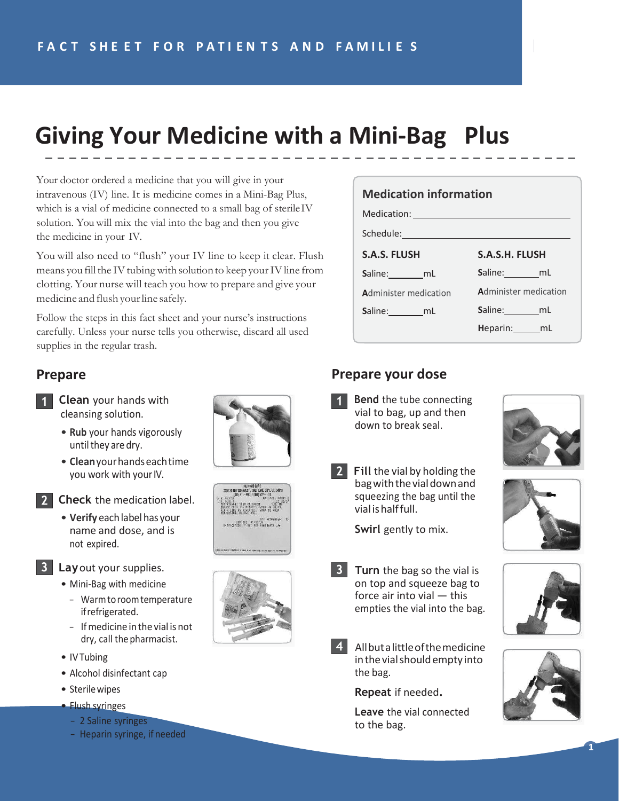# **Giving Your Medicine with a Mini-Bag Plus**

Your doctor ordered a medicine that you will give in your intravenous (IV) line. It is medicine comes in a Mini-Bag Plus, which is a vial of medicine connected to a small bag of sterile IV solution. You will mix the vial into the bag and then you give the medicine in your IV.

You will also need to "flush" your IV line to keep it clear. Flush means you fill the IV tubing with solution to keep your IV line from clotting. Your nurse will teach you how to prepare and give your medicine and flush your line safely.

Follow the steps in this fact sheet and your nurse's instructions carefully. Unless your nurse tells you otherwise, discard all used supplies in the regular trash.

### **Prepare**

- **1 Clean** your hands with cleansing solution.
	- **Rub** your hands vigorously until they are dry.
	- **Clean** your hands each time you work with your IV.
- 
- **2** Check the medication label.
	- **Verify** each label has your name and dose, and is not expired.
- **Lay**out your supplies.
	- Mini-Bag with medicine
		- Warm to room temperature if refrigerated.
		- If medicine in the vial is not dry, call the pharmacist.
	- IV Tubing
	- Alcohol disinfectant cap
	- Sterile wipes
	- Flush syringes
		- 2 Saline syringes
		- Heparin syringe, if needed







#### **Medication information** Medication: Schedule: **S.A.S. FLUSH S.A.S.H. FLUSH S**aline: mL Saline:
\_\_\_\_\_\_\_\_\_mL **Administer medication Administer medication** Saline: mL **S**aline: mL **H**eparin: mL

### **Prepare your dose**

**Bend** the tube connecting vial to bag, up and then down to break seal.



**2** Fill the vial by holding the bag with the vial down and squeezing the bag until the vial is half full.



**B** Turn the bag so the vial is on top and squeeze bag to force air into vial — this empties the vial into the bag.

> All but a littleof the medicine in the vial should empty into

the bag.

to the bag.

**Repeat** if needed**.**

**Leave** the vial connected





**1**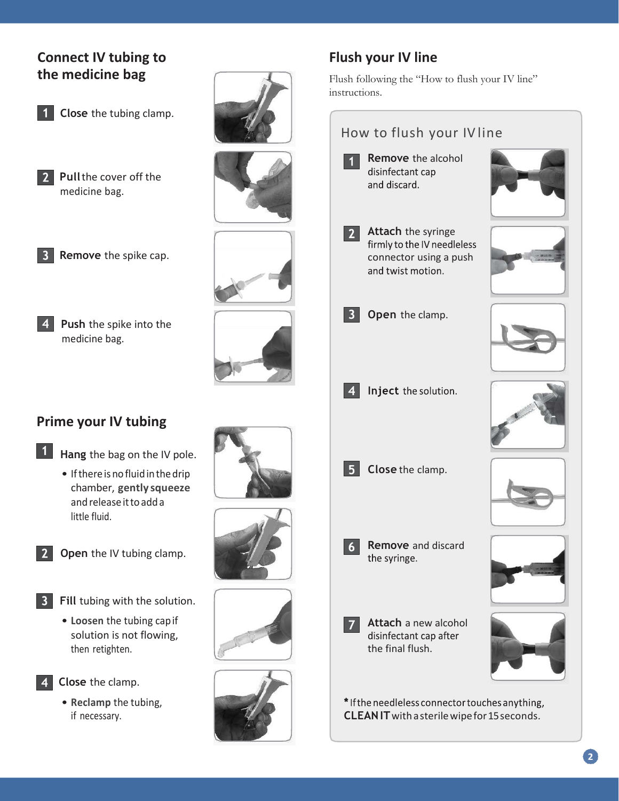## **Connect IV tubing to the medicine bag**



**Pull the cover off the** medicine bag.



**Push** the spike into the medicine bag.

# **Prime your IV tubing**



- **Hang** the bag on the IV pole.
	- If there isno fluid in the drip chamber, **gently squeeze**  and release itto add a little fluid.
- **2** Open the IV tubing clamp.
- **3** Fill tubing with the solution.
	- **Loosen** the tubing cap if solution is not flowing, then retighten.



**Close** the clamp.

• **Reclamp** the tubing, if necessary.

















# **Flush your IV line**

Flush following the "How to flush your IV line" instructions.